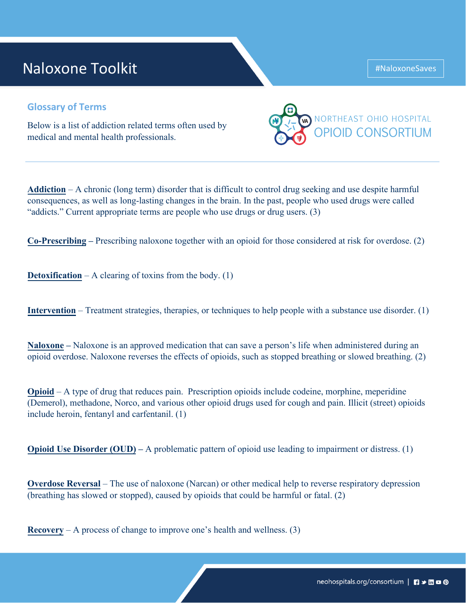## Naloxone Toolkit

## **Glossary of Terms**

Below is a list of addiction related terms often used by medical and mental health professionals.

**Addiction** – A chronic (long term) disorder that is difficult to control drug seeking and use despite harmful consequences, as well as long-lasting changes in the brain. In the past, people who used drugs were called "addicts." Current appropriate terms are people who use drugs or drug users. (3)

**Co-Prescribing –** Prescribing naloxone together with an opioid for those considered at risk for overdose. (2)

**Detoxification** – A clearing of toxins from the body. (1)

**Intervention** – Treatment strategies, therapies, or techniques to help people with a substance use disorder. (1)

**Naloxone –** Naloxone is an approved medication that can save a person's life when administered during an opioid overdose. Naloxone reverses the effects of opioids, such as stopped breathing or slowed breathing. (2)

**Opioid** – A type of drug that reduces pain. Prescription opioids include codeine, morphine, meperidine (Demerol), methadone, Norco, and various other opioid drugs used for cough and pain. Illicit (street) opioids include heroin, fentanyl and carfentanil. (1)

**Opioid Use Disorder (OUD)** – A problematic pattern of opioid use leading to impairment or distress. (1)

**Overdose Reversal** – The use of naloxone (Narcan) or other medical help to reverse respiratory depression (breathing has slowed or stopped), caused by opioids that could be harmful or fatal. (2)

**Recovery** – A process of change to improve one's health and wellness. (3)



#NaloxoneSaves